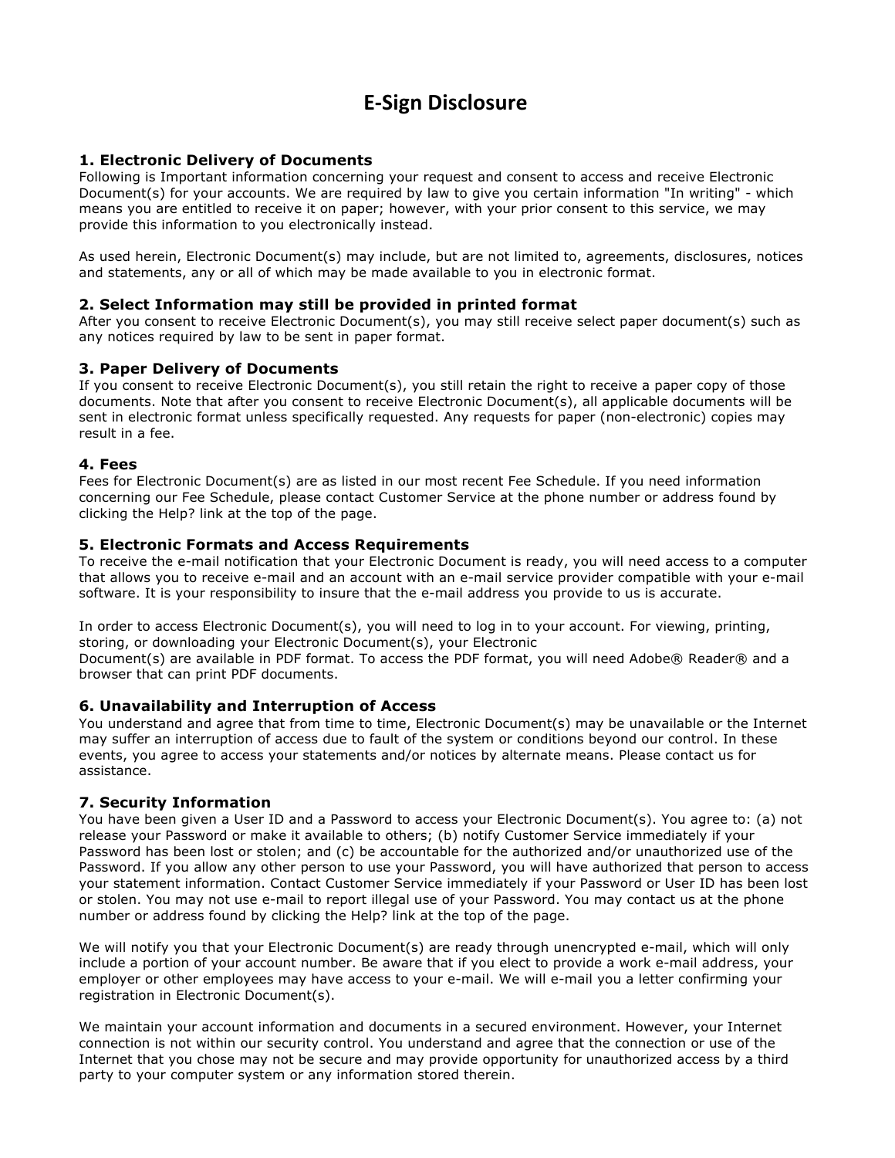# **E-Sign Disclosure**

## **1. Electronic Delivery of Documents**

Following is Important information concerning your request and consent to access and receive Electronic Document(s) for your accounts. We are required by law to give you certain information "In writing" - which means you are entitled to receive it on paper; however, with your prior consent to this service, we may provide this information to you electronically instead.

As used herein, Electronic Document(s) may include, but are not limited to, agreements, disclosures, notices and statements, any or all of which may be made available to you in electronic format.

#### **2. Select Information may still be provided in printed format**

After you consent to receive Electronic Document(s), you may still receive select paper document(s) such as any notices required by law to be sent in paper format.

#### **3. Paper Delivery of Documents**

If you consent to receive Electronic Document(s), you still retain the right to receive a paper copy of those documents. Note that after you consent to receive Electronic Document(s), all applicable documents will be sent in electronic format unless specifically requested. Any requests for paper (non-electronic) copies may result in a fee.

#### **4. Fees**

Fees for Electronic Document(s) are as listed in our most recent Fee Schedule. If you need information concerning our Fee Schedule, please contact Customer Service at the phone number or address found by clicking the Help? link at the top of the page.

#### **5. Electronic Formats and Access Requirements**

To receive the e-mail notification that your Electronic Document is ready, you will need access to a computer that allows you to receive e-mail and an account with an e-mail service provider compatible with your e-mail software. It is your responsibility to insure that the e-mail address you provide to us is accurate.

In order to access Electronic Document(s), you will need to log in to your account. For viewing, printing, storing, or downloading your Electronic Document(s), your Electronic Document(s) are available in PDF format. To access the PDF format, you will need Adobe® Reader® and a browser that can print PDF documents.

#### **6. Unavailability and Interruption of Access**

You understand and agree that from time to time, Electronic Document(s) may be unavailable or the Internet may suffer an interruption of access due to fault of the system or conditions beyond our control. In these events, you agree to access your statements and/or notices by alternate means. Please contact us for assistance.

#### **7. Security Information**

You have been given a User ID and a Password to access your Electronic Document(s). You agree to: (a) not release your Password or make it available to others; (b) notify Customer Service immediately if your Password has been lost or stolen; and (c) be accountable for the authorized and/or unauthorized use of the Password. If you allow any other person to use your Password, you will have authorized that person to access your statement information. Contact Customer Service immediately if your Password or User ID has been lost or stolen. You may not use e-mail to report illegal use of your Password. You may contact us at the phone number or address found by clicking the Help? link at the top of the page.

We will notify you that your Electronic Document(s) are ready through unencrypted e-mail, which will only include a portion of your account number. Be aware that if you elect to provide a work e-mail address, your employer or other employees may have access to your e-mail. We will e-mail you a letter confirming your registration in Electronic Document(s).

We maintain your account information and documents in a secured environment. However, your Internet connection is not within our security control. You understand and agree that the connection or use of the Internet that you chose may not be secure and may provide opportunity for unauthorized access by a third party to your computer system or any information stored therein.